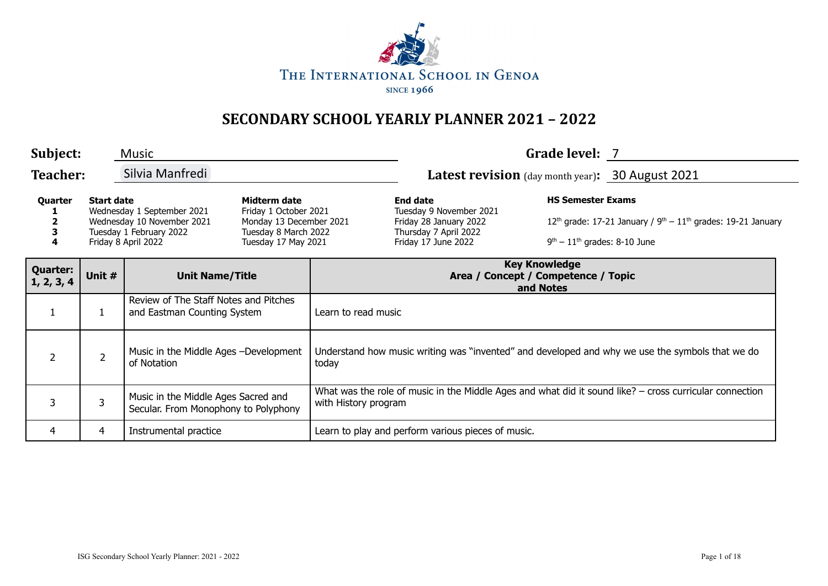

| Subject:                      |                   | <b>Music</b>                                                                                               |                                                                                                                 |                                                                                                                                   |                                                                                                                      | Grade level: 7                                             |                                                                                  |  |
|-------------------------------|-------------------|------------------------------------------------------------------------------------------------------------|-----------------------------------------------------------------------------------------------------------------|-----------------------------------------------------------------------------------------------------------------------------------|----------------------------------------------------------------------------------------------------------------------|------------------------------------------------------------|----------------------------------------------------------------------------------|--|
| <b>Teacher:</b>               |                   | Silvia Manfredi                                                                                            |                                                                                                                 |                                                                                                                                   | Latest revision (day month year): 30 August 2021                                                                     |                                                            |                                                                                  |  |
| Quarter<br>3<br>4             | <b>Start date</b> | Wednesday 1 September 2021<br>Wednesday 10 November 2021<br>Tuesday 1 February 2022<br>Friday 8 April 2022 | Midterm date<br>Friday 1 October 2021<br>Monday 13 December 2021<br>Tuesday 8 March 2022<br>Tuesday 17 May 2021 |                                                                                                                                   | <b>End date</b><br>Tuesday 9 November 2021<br>Friday 28 January 2022<br>Thursday 7 April 2022<br>Friday 17 June 2022 | <b>HS Semester Exams</b><br>$9th - 11th$ grades: 8-10 June | 12 <sup>th</sup> grade: 17-21 January / $9^{th} - 11^{th}$ grades: 19-21 January |  |
| <b>Quarter:</b><br>1, 2, 3, 4 | Unit #            | <b>Unit Name/Title</b>                                                                                     |                                                                                                                 |                                                                                                                                   | <b>Key Knowledge</b><br>Area / Concept / Competence / Topic<br>and Notes                                             |                                                            |                                                                                  |  |
| $\mathbf{1}$                  |                   | Review of The Staff Notes and Pitches<br>and Eastman Counting System                                       |                                                                                                                 | Learn to read music                                                                                                               |                                                                                                                      |                                                            |                                                                                  |  |
| $\overline{2}$                | $\overline{2}$    | Music in the Middle Ages -Development<br>of Notation                                                       |                                                                                                                 | Understand how music writing was "invented" and developed and why we use the symbols that we do<br>today                          |                                                                                                                      |                                                            |                                                                                  |  |
| 3                             | 3                 | Music in the Middle Ages Sacred and<br>Secular. From Monophony to Polyphony                                |                                                                                                                 | What was the role of music in the Middle Ages and what did it sound like? $-$ cross curricular connection<br>with History program |                                                                                                                      |                                                            |                                                                                  |  |
| 4                             | 4                 | Instrumental practice                                                                                      |                                                                                                                 |                                                                                                                                   | Learn to play and perform various pieces of music.                                                                   |                                                            |                                                                                  |  |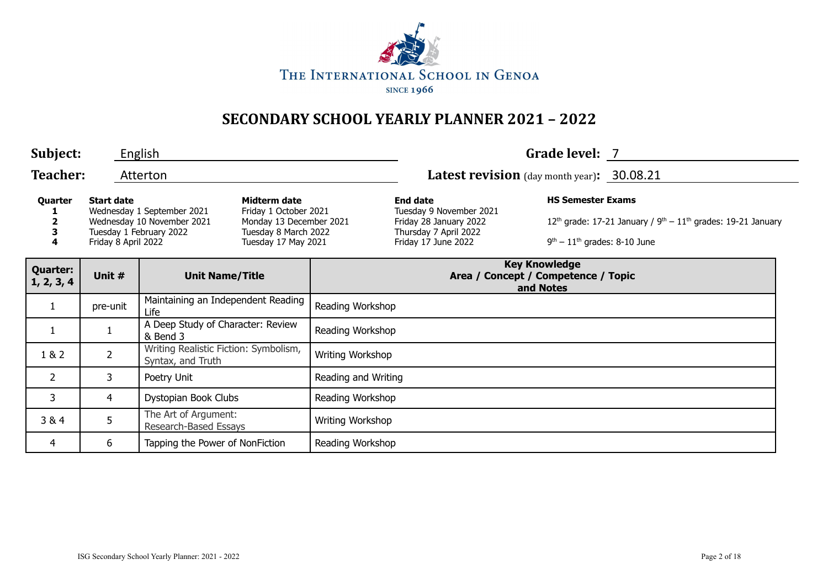

| Subject:                      |                                                                                                                                 | English                                                    |                                                                                                                 |                     |                                                                                                                      | Grade level: 7                                                                                                                                 |  |  |
|-------------------------------|---------------------------------------------------------------------------------------------------------------------------------|------------------------------------------------------------|-----------------------------------------------------------------------------------------------------------------|---------------------|----------------------------------------------------------------------------------------------------------------------|------------------------------------------------------------------------------------------------------------------------------------------------|--|--|
| <b>Teacher:</b>               |                                                                                                                                 | Atterton                                                   |                                                                                                                 |                     | Latest revision (day month year): 30.08.21                                                                           |                                                                                                                                                |  |  |
| Quarter<br>3<br>4             | <b>Start date</b><br>Wednesday 1 September 2021<br>Wednesday 10 November 2021<br>Tuesday 1 February 2022<br>Friday 8 April 2022 |                                                            | Midterm date<br>Friday 1 October 2021<br>Monday 13 December 2021<br>Tuesday 8 March 2022<br>Tuesday 17 May 2021 |                     | <b>End date</b><br>Tuesday 9 November 2021<br>Friday 28 January 2022<br>Thursday 7 April 2022<br>Friday 17 June 2022 | <b>HS Semester Exams</b><br>12 <sup>th</sup> grade: 17-21 January / $9^{th} - 11^{th}$ grades: 19-21 January<br>$9th - 11th$ grades: 8-10 June |  |  |
| <b>Quarter:</b><br>1, 2, 3, 4 | Unit #                                                                                                                          | <b>Unit Name/Title</b>                                     |                                                                                                                 |                     | <b>Key Knowledge</b><br>Area / Concept / Competence / Topic<br>and Notes                                             |                                                                                                                                                |  |  |
| $\mathbf{1}$                  | pre-unit                                                                                                                        | Maintaining an Independent Reading<br>Life                 |                                                                                                                 | Reading Workshop    |                                                                                                                      |                                                                                                                                                |  |  |
| $\mathbf{1}$                  |                                                                                                                                 | A Deep Study of Character: Review<br>& Bend 3              |                                                                                                                 | Reading Workshop    |                                                                                                                      |                                                                                                                                                |  |  |
| 1 & 2                         | 2                                                                                                                               | Writing Realistic Fiction: Symbolism,<br>Syntax, and Truth |                                                                                                                 | Writing Workshop    |                                                                                                                      |                                                                                                                                                |  |  |
| $\overline{2}$                | 3                                                                                                                               | Poetry Unit                                                |                                                                                                                 | Reading and Writing |                                                                                                                      |                                                                                                                                                |  |  |
| 3                             | 4                                                                                                                               | Dystopian Book Clubs                                       |                                                                                                                 | Reading Workshop    |                                                                                                                      |                                                                                                                                                |  |  |
| 3 & 4                         | 5                                                                                                                               | The Art of Argument:<br>Research-Based Essays              |                                                                                                                 | Writing Workshop    |                                                                                                                      |                                                                                                                                                |  |  |
| 4                             | 6                                                                                                                               | Tapping the Power of NonFiction                            |                                                                                                                 | Reading Workshop    |                                                                                                                      |                                                                                                                                                |  |  |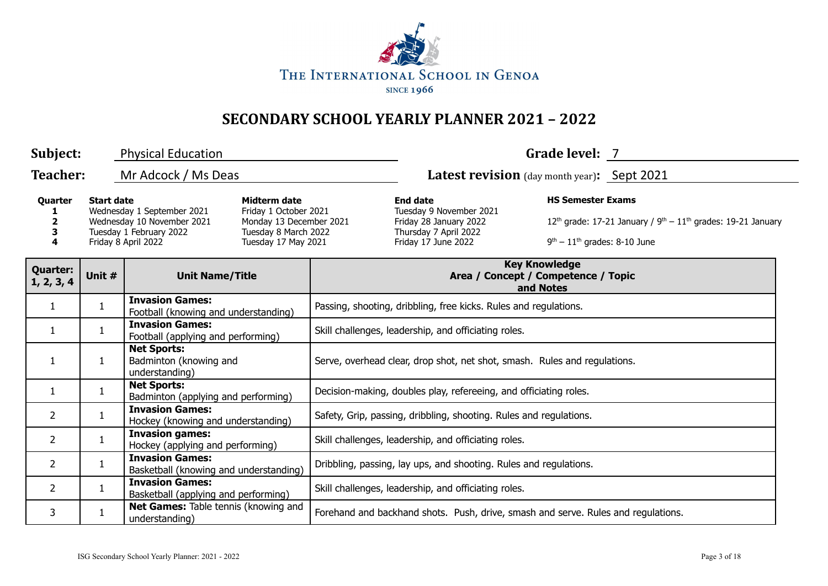

| Subject:                                                                                                                                                                                                                                                                     | <b>Physical Education</b> |                                                                  |                                                                                                                      |                                                                                   | Grade level: 7                                                             |  |  |  |  |
|------------------------------------------------------------------------------------------------------------------------------------------------------------------------------------------------------------------------------------------------------------------------------|---------------------------|------------------------------------------------------------------|----------------------------------------------------------------------------------------------------------------------|-----------------------------------------------------------------------------------|----------------------------------------------------------------------------|--|--|--|--|
| <b>Teacher:</b>                                                                                                                                                                                                                                                              |                           | Mr Adcock / Ms Deas                                              |                                                                                                                      | <b>Latest revision</b> (day month year): Sept 2021                                |                                                                            |  |  |  |  |
| <b>Start date</b><br>Midterm date<br>Quarter<br>Wednesday 1 September 2021<br>Friday 1 October 2021<br>Wednesday 10 November 2021<br>Monday 13 December 2021<br>2<br>Tuesday 1 February 2022<br>Tuesday 8 March 2022<br>3<br>Friday 8 April 2022<br>Tuesday 17 May 2021<br>4 |                           |                                                                  | <b>End date</b><br>Tuesday 9 November 2021<br>Friday 28 January 2022<br>Thursday 7 April 2022<br>Friday 17 June 2022 | <b>HS Semester Exams</b><br>$9th - 11th$ grades: 8-10 June                        | 12 <sup>th</sup> grade: 17-21 January / $9th - 11th$ grades: 19-21 January |  |  |  |  |
| <b>Quarter:</b><br>1, 2, 3, 4                                                                                                                                                                                                                                                | Unit #                    | <b>Unit Name/Title</b>                                           |                                                                                                                      |                                                                                   | <b>Key Knowledge</b><br>Area / Concept / Competence / Topic<br>and Notes   |  |  |  |  |
| $\mathbf{1}$                                                                                                                                                                                                                                                                 | $\mathbf{1}$              | <b>Invasion Games:</b><br>Football (knowing and understanding)   |                                                                                                                      |                                                                                   | Passing, shooting, dribbling, free kicks. Rules and regulations.           |  |  |  |  |
| $\mathbf{1}$                                                                                                                                                                                                                                                                 | $\mathbf{1}$              | <b>Invasion Games:</b><br>Football (applying and performing)     |                                                                                                                      |                                                                                   | Skill challenges, leadership, and officiating roles.                       |  |  |  |  |
| 1                                                                                                                                                                                                                                                                            | 1                         | <b>Net Sports:</b><br>Badminton (knowing and<br>understanding)   |                                                                                                                      | Serve, overhead clear, drop shot, net shot, smash. Rules and regulations.         |                                                                            |  |  |  |  |
| $\mathbf{1}$                                                                                                                                                                                                                                                                 | $\mathbf{1}$              | <b>Net Sports:</b><br>Badminton (applying and performing)        |                                                                                                                      | Decision-making, doubles play, refereeing, and officiating roles.                 |                                                                            |  |  |  |  |
| $\overline{2}$                                                                                                                                                                                                                                                               | $\mathbf{1}$              | <b>Invasion Games:</b><br>Hockey (knowing and understanding)     |                                                                                                                      | Safety, Grip, passing, dribbling, shooting. Rules and regulations.                |                                                                            |  |  |  |  |
| $\overline{2}$                                                                                                                                                                                                                                                               | $\mathbf{1}$              | <b>Invasion games:</b><br>Hockey (applying and performing)       |                                                                                                                      | Skill challenges, leadership, and officiating roles.                              |                                                                            |  |  |  |  |
| 2                                                                                                                                                                                                                                                                            | $\mathbf{1}$              | <b>Invasion Games:</b><br>Basketball (knowing and understanding) |                                                                                                                      | Dribbling, passing, lay ups, and shooting. Rules and regulations.                 |                                                                            |  |  |  |  |
| $\overline{2}$                                                                                                                                                                                                                                                               | $\mathbf{1}$              | <b>Invasion Games:</b><br>Basketball (applying and performing)   |                                                                                                                      | Skill challenges, leadership, and officiating roles.                              |                                                                            |  |  |  |  |
| 3                                                                                                                                                                                                                                                                            | 1                         | Net Games: Table tennis (knowing and<br>understanding)           |                                                                                                                      | Forehand and backhand shots. Push, drive, smash and serve. Rules and regulations. |                                                                            |  |  |  |  |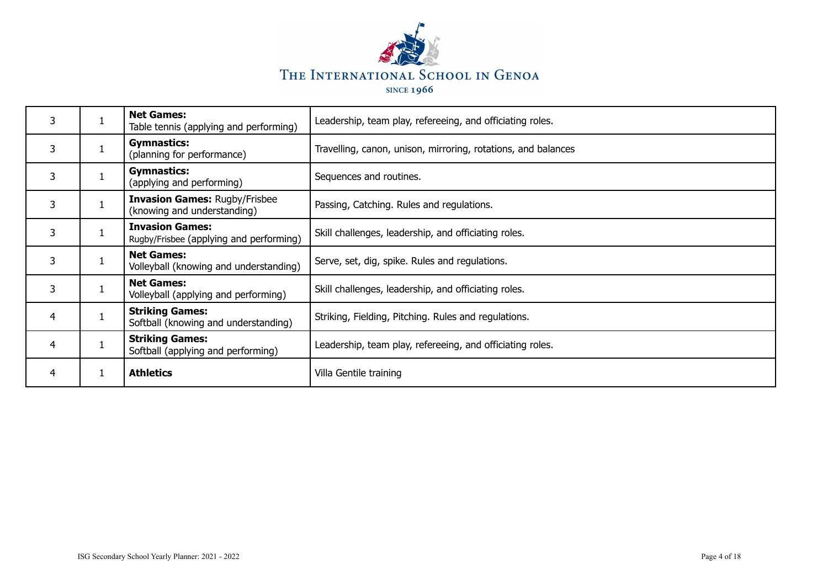

| 4 | <b>Athletics</b>                                                    | Villa Gentile training                                        |
|---|---------------------------------------------------------------------|---------------------------------------------------------------|
| 4 | <b>Striking Games:</b><br>Softball (applying and performing)        | Leadership, team play, refereeing, and officiating roles.     |
| 4 | <b>Striking Games:</b><br>Softball (knowing and understanding)      | Striking, Fielding, Pitching. Rules and regulations.          |
| 3 | <b>Net Games:</b><br>Volleyball (applying and performing)           | Skill challenges, leadership, and officiating roles.          |
| 3 | <b>Net Games:</b><br>Volleyball (knowing and understanding)         | Serve, set, dig, spike. Rules and regulations.                |
| 3 | <b>Invasion Games:</b><br>Rugby/Frisbee (applying and performing)   | Skill challenges, leadership, and officiating roles.          |
| 3 | <b>Invasion Games: Rugby/Frisbee</b><br>(knowing and understanding) | Passing, Catching. Rules and regulations.                     |
| 3 | <b>Gymnastics:</b><br>(applying and performing)                     | Sequences and routines.                                       |
| 3 | <b>Gymnastics:</b><br>(planning for performance)                    | Travelling, canon, unison, mirroring, rotations, and balances |
| 3 | <b>Net Games:</b><br>Table tennis (applying and performing)         | Leadership, team play, refereeing, and officiating roles.     |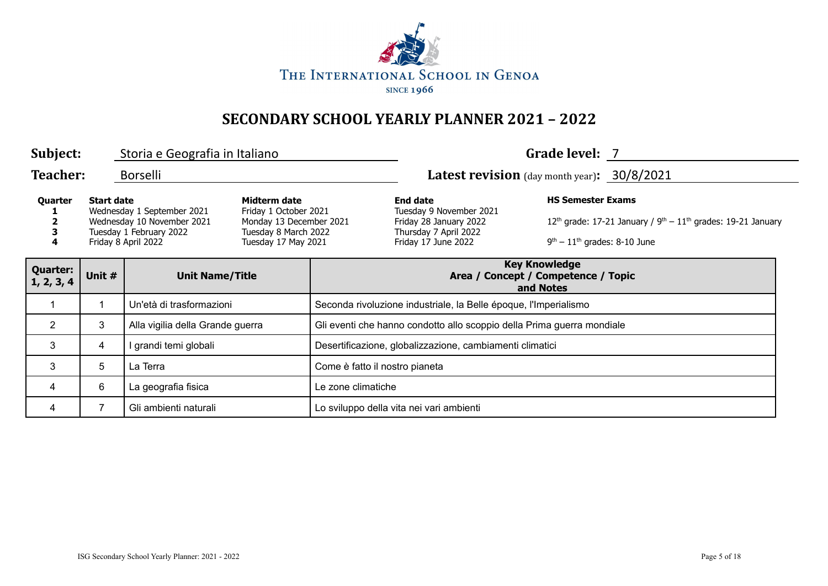

| Subject:                                                                                                                                                                                                                                                           | Grade level: 7<br>Storia e Geografia in Italiano |                                  |                                                                                                                      |                                                                        |                                                                          |  |  |  |
|--------------------------------------------------------------------------------------------------------------------------------------------------------------------------------------------------------------------------------------------------------------------|--------------------------------------------------|----------------------------------|----------------------------------------------------------------------------------------------------------------------|------------------------------------------------------------------------|--------------------------------------------------------------------------|--|--|--|
| <b>Teacher:</b>                                                                                                                                                                                                                                                    |                                                  | Borselli                         |                                                                                                                      |                                                                        | <b>Latest revision</b> (day month year): 30/8/2021                       |  |  |  |
| Quarter<br><b>Start date</b><br>Midterm date<br>Wednesday 1 September 2021<br>Friday 1 October 2021<br>Wednesday 10 November 2021<br>Monday 13 December 2021<br>Tuesday 1 February 2022<br>Tuesday 8 March 2022<br>Friday 8 April 2022<br>Tuesday 17 May 2021<br>4 |                                                  |                                  | <b>End date</b><br>Tuesday 9 November 2021<br>Friday 28 January 2022<br>Thursday 7 April 2022<br>Friday 17 June 2022 | <b>HS Semester Exams</b><br>$9th - 11th$ grades: 8-10 June             | $12th$ grade: 17-21 January / $9th - 11th$ grades: 19-21 January         |  |  |  |
| <b>Quarter:</b><br>1, 2, 3, 4                                                                                                                                                                                                                                      | Unit #                                           | <b>Unit Name/Title</b>           |                                                                                                                      |                                                                        | <b>Key Knowledge</b><br>Area / Concept / Competence / Topic<br>and Notes |  |  |  |
|                                                                                                                                                                                                                                                                    |                                                  | Un'età di trasformazioni         |                                                                                                                      | Seconda rivoluzione industriale, la Belle époque, l'Imperialismo       |                                                                          |  |  |  |
| $\overline{2}$                                                                                                                                                                                                                                                     | 3                                                | Alla vigilia della Grande guerra |                                                                                                                      | Gli eventi che hanno condotto allo scoppio della Prima guerra mondiale |                                                                          |  |  |  |
| 3                                                                                                                                                                                                                                                                  | 4                                                | grandi temi globali              |                                                                                                                      | Desertificazione, globalizzazione, cambiamenti climatici               |                                                                          |  |  |  |
| 3                                                                                                                                                                                                                                                                  | 5                                                | La Terra                         |                                                                                                                      | Come è fatto il nostro pianeta                                         |                                                                          |  |  |  |
| 4                                                                                                                                                                                                                                                                  | 6                                                | La geografia fisica              |                                                                                                                      | Le zone climatiche                                                     |                                                                          |  |  |  |
| 4                                                                                                                                                                                                                                                                  | 7                                                | Gli ambienti naturali            |                                                                                                                      |                                                                        | Lo sviluppo della vita nei vari ambienti                                 |  |  |  |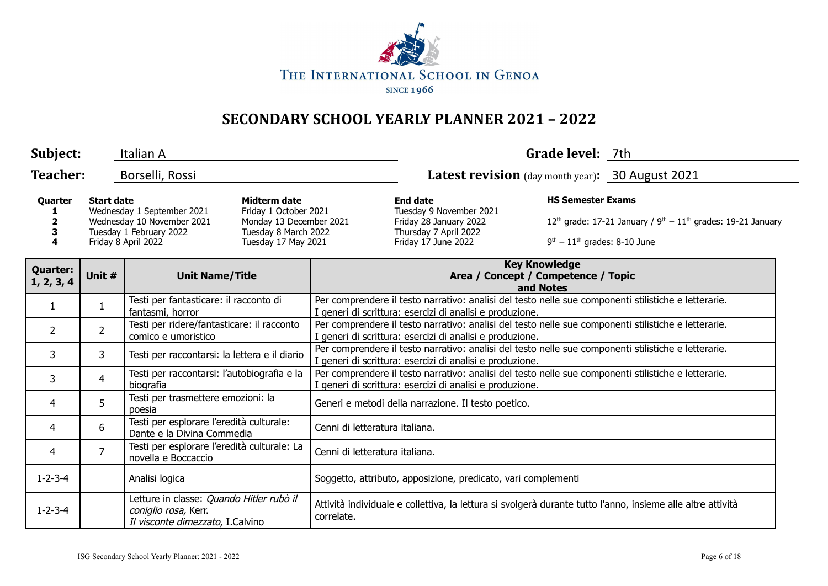

| Subject:                                                                                                                                                                                                                                                                                |                                  | Italian A                                                                                            |                                                                                                                      |                                                                                                                                                                  |                                                                                                                                                                  | Grade level: 7th |  |  |  |
|-----------------------------------------------------------------------------------------------------------------------------------------------------------------------------------------------------------------------------------------------------------------------------------------|----------------------------------|------------------------------------------------------------------------------------------------------|----------------------------------------------------------------------------------------------------------------------|------------------------------------------------------------------------------------------------------------------------------------------------------------------|------------------------------------------------------------------------------------------------------------------------------------------------------------------|------------------|--|--|--|
| <b>Teacher:</b>                                                                                                                                                                                                                                                                         |                                  | Borselli, Rossi                                                                                      |                                                                                                                      |                                                                                                                                                                  | <b>Latest revision</b> (day month year): 30 August 2021                                                                                                          |                  |  |  |  |
| <b>Start date</b><br>Midterm date<br>Quarter<br>Wednesday 1 September 2021<br>Friday 1 October 2021<br>Wednesday 10 November 2021<br>Monday 13 December 2021<br>$\mathbf{2}$<br>Tuesday 1 February 2022<br>Tuesday 8 March 2022<br>3<br>Friday 8 April 2022<br>Tuesday 17 May 2021<br>4 |                                  |                                                                                                      | <b>End date</b><br>Tuesday 9 November 2021<br>Friday 28 January 2022<br>Thursday 7 April 2022<br>Friday 17 June 2022 | <b>HS Semester Exams</b><br>$9th - 11th$ grades: 8-10 June                                                                                                       | $12^{th}$ grade: 17-21 January / $9^{th} - 11^{th}$ grades: 19-21 January                                                                                        |                  |  |  |  |
| <b>Quarter:</b><br>1, 2, 3, 4                                                                                                                                                                                                                                                           | Unit #<br><b>Unit Name/Title</b> |                                                                                                      |                                                                                                                      |                                                                                                                                                                  | <b>Key Knowledge</b><br>Area / Concept / Competence / Topic<br>and Notes                                                                                         |                  |  |  |  |
| 1                                                                                                                                                                                                                                                                                       | 1                                | Testi per fantasticare: il racconto di<br>fantasmi, horror                                           |                                                                                                                      |                                                                                                                                                                  | Per comprendere il testo narrativo: analisi del testo nelle sue componenti stilistiche e letterarie.<br>I generi di scrittura: esercizi di analisi e produzione. |                  |  |  |  |
| $\overline{2}$                                                                                                                                                                                                                                                                          | $\overline{2}$                   | Testi per ridere/fantasticare: il racconto<br>comico e umoristico                                    |                                                                                                                      |                                                                                                                                                                  | Per comprendere il testo narrativo: analisi del testo nelle sue componenti stilistiche e letterarie.<br>I generi di scrittura: esercizi di analisi e produzione. |                  |  |  |  |
| 3                                                                                                                                                                                                                                                                                       | 3                                | Testi per raccontarsi: la lettera e il diario                                                        |                                                                                                                      | Per comprendere il testo narrativo: analisi del testo nelle sue componenti stilistiche e letterarie.<br>I generi di scrittura: esercizi di analisi e produzione. |                                                                                                                                                                  |                  |  |  |  |
| 3                                                                                                                                                                                                                                                                                       | $\overline{4}$                   | Testi per raccontarsi: l'autobiografia e la<br>biografia                                             |                                                                                                                      | Per comprendere il testo narrativo: analisi del testo nelle sue componenti stilistiche e letterarie.<br>I generi di scrittura: esercizi di analisi e produzione. |                                                                                                                                                                  |                  |  |  |  |
| 4                                                                                                                                                                                                                                                                                       | 5                                | Testi per trasmettere emozioni: la<br>poesia                                                         |                                                                                                                      | Generi e metodi della narrazione. Il testo poetico.                                                                                                              |                                                                                                                                                                  |                  |  |  |  |
| 4                                                                                                                                                                                                                                                                                       | 6                                | Testi per esplorare l'eredità culturale:<br>Dante e la Divina Commedia                               |                                                                                                                      | Cenni di letteratura italiana.                                                                                                                                   |                                                                                                                                                                  |                  |  |  |  |
| 4                                                                                                                                                                                                                                                                                       | 7                                | Testi per esplorare l'eredità culturale: La<br>novella e Boccaccio                                   |                                                                                                                      | Cenni di letteratura italiana.                                                                                                                                   |                                                                                                                                                                  |                  |  |  |  |
| $1 - 2 - 3 - 4$                                                                                                                                                                                                                                                                         |                                  | Analisi logica                                                                                       |                                                                                                                      |                                                                                                                                                                  | Soggetto, attributo, apposizione, predicato, vari complementi                                                                                                    |                  |  |  |  |
| $1 - 2 - 3 - 4$                                                                                                                                                                                                                                                                         |                                  | Letture in classe: Quando Hitler rubò il<br>coniglio rosa, Kerr.<br>Il visconte dimezzato, I.Calvino |                                                                                                                      | correlate.                                                                                                                                                       | Attività individuale e collettiva, la lettura si svolgerà durante tutto l'anno, insieme alle altre attività                                                      |                  |  |  |  |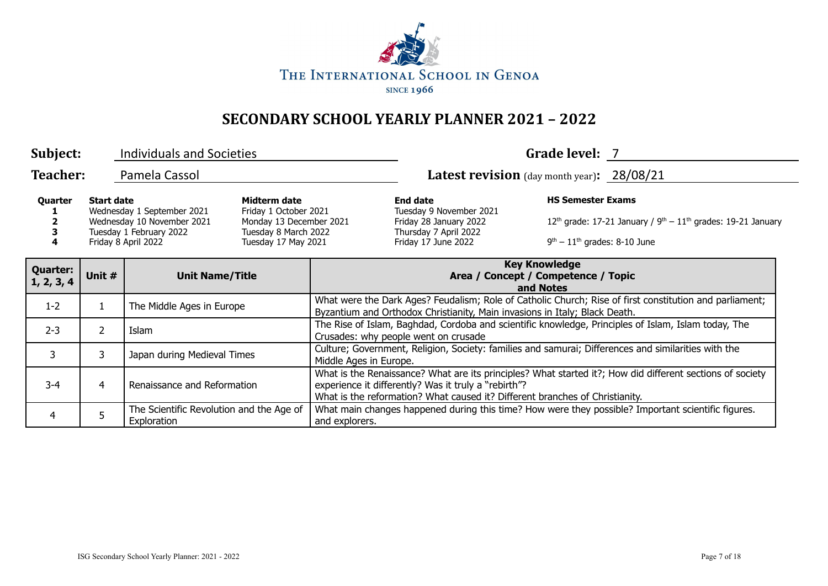

| Subject:                                                                                                                                                                                                                                                           |                | <b>Individuals and Societies</b>                        |                                                                                                                      |                                                                                                                                                                                                                                                   |                                                                              | Grade level: 7 |  |
|--------------------------------------------------------------------------------------------------------------------------------------------------------------------------------------------------------------------------------------------------------------------|----------------|---------------------------------------------------------|----------------------------------------------------------------------------------------------------------------------|---------------------------------------------------------------------------------------------------------------------------------------------------------------------------------------------------------------------------------------------------|------------------------------------------------------------------------------|----------------|--|
| <b>Teacher:</b>                                                                                                                                                                                                                                                    |                | Pamela Cassol                                           |                                                                                                                      |                                                                                                                                                                                                                                                   | Latest revision (day month year): 28/08/21                                   |                |  |
| Midterm date<br><b>Start date</b><br>Quarter<br>Wednesday 1 September 2021<br>Friday 1 October 2021<br>Wednesday 10 November 2021<br>Monday 13 December 2021<br>Tuesday 8 March 2022<br>Tuesday 1 February 2022<br>Friday 8 April 2022<br>Tuesday 17 May 2021<br>4 |                |                                                         | <b>End date</b><br>Tuesday 9 November 2021<br>Friday 28 January 2022<br>Thursday 7 April 2022<br>Friday 17 June 2022 | <b>HS Semester Exams</b><br>$9th - 11th$ grades: 8-10 June                                                                                                                                                                                        | $12th$ grade: 17-21 January / 9 <sup>th</sup> – $11th$ grades: 19-21 January |                |  |
| <b>Quarter:</b><br>1, 2, 3, 4                                                                                                                                                                                                                                      | Unit #         | <b>Unit Name/Title</b>                                  |                                                                                                                      | <b>Key Knowledge</b><br>Area / Concept / Competence / Topic<br>and Notes                                                                                                                                                                          |                                                                              |                |  |
| $1 - 2$                                                                                                                                                                                                                                                            |                | The Middle Ages in Europe                               |                                                                                                                      | What were the Dark Ages? Feudalism; Role of Catholic Church; Rise of first constitution and parliament;<br>Byzantium and Orthodox Christianity, Main invasions in Italy; Black Death.                                                             |                                                                              |                |  |
| $2 - 3$                                                                                                                                                                                                                                                            | $\overline{2}$ | Islam                                                   |                                                                                                                      | The Rise of Islam, Baghdad, Cordoba and scientific knowledge, Principles of Islam, Islam today, The<br>Crusades: why people went on crusade                                                                                                       |                                                                              |                |  |
| 3                                                                                                                                                                                                                                                                  | 3              | Japan during Medieval Times                             |                                                                                                                      | Culture; Government, Religion, Society: families and samurai; Differences and similarities with the<br>Middle Ages in Europe.                                                                                                                     |                                                                              |                |  |
| $3 - 4$                                                                                                                                                                                                                                                            | 4              | Renaissance and Reformation                             |                                                                                                                      | What is the Renaissance? What are its principles? What started it?; How did different sections of society<br>experience it differently? Was it truly a "rebirth"?<br>What is the reformation? What caused it? Different branches of Christianity. |                                                                              |                |  |
| 4                                                                                                                                                                                                                                                                  | 5              | The Scientific Revolution and the Age of<br>Exploration |                                                                                                                      | What main changes happened during this time? How were they possible? Important scientific figures.<br>and explorers.                                                                                                                              |                                                                              |                |  |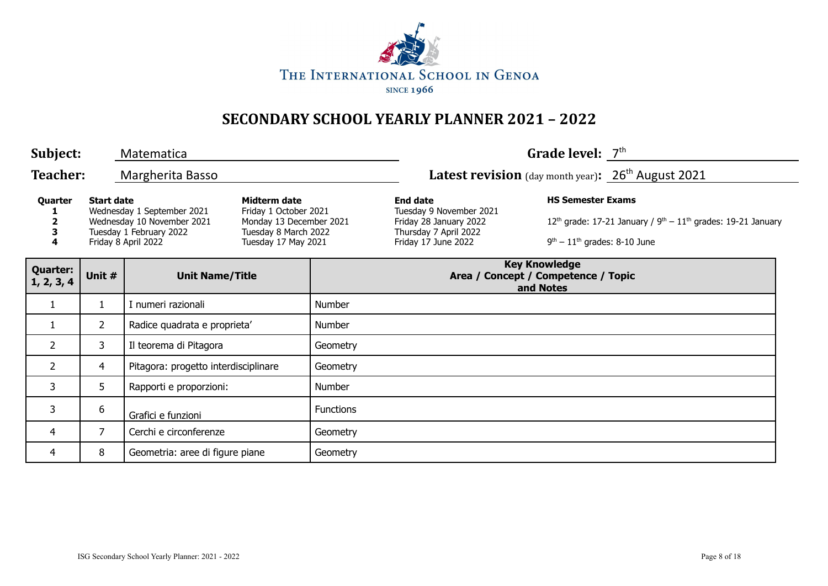

| Subject:                      |                   | Matematica                                                                                                 |                                                                                                                 |                  |                                                                                                                      | Grade level: $7th$                                         |                                                                  |
|-------------------------------|-------------------|------------------------------------------------------------------------------------------------------------|-----------------------------------------------------------------------------------------------------------------|------------------|----------------------------------------------------------------------------------------------------------------------|------------------------------------------------------------|------------------------------------------------------------------|
| <b>Teacher:</b>               |                   | Margherita Basso                                                                                           |                                                                                                                 |                  | <b>Latest revision</b> (day month year): $26th$ August 2021                                                          |                                                            |                                                                  |
| Quarter<br>4                  | <b>Start date</b> | Wednesday 1 September 2021<br>Wednesday 10 November 2021<br>Tuesday 1 February 2022<br>Friday 8 April 2022 | Midterm date<br>Friday 1 October 2021<br>Monday 13 December 2021<br>Tuesday 8 March 2022<br>Tuesday 17 May 2021 |                  | <b>End date</b><br>Tuesday 9 November 2021<br>Friday 28 January 2022<br>Thursday 7 April 2022<br>Friday 17 June 2022 | <b>HS Semester Exams</b><br>$9th - 11th$ grades: 8-10 June | $12th$ grade: 17-21 January / $9th - 11th$ grades: 19-21 January |
| <b>Quarter:</b><br>1, 2, 3, 4 | Unit #            |                                                                                                            | <b>Unit Name/Title</b>                                                                                          |                  | Area / Concept / Competence / Topic                                                                                  | <b>Key Knowledge</b><br>and Notes                          |                                                                  |
| $\mathbf{1}$                  | $\mathbf{1}$      | I numeri razionali                                                                                         |                                                                                                                 | Number           |                                                                                                                      |                                                            |                                                                  |
| 1                             | $\overline{2}$    | Radice quadrata e proprieta'                                                                               |                                                                                                                 | Number           |                                                                                                                      |                                                            |                                                                  |
| $\overline{2}$                | 3                 | Il teorema di Pitagora                                                                                     |                                                                                                                 | Geometry         |                                                                                                                      |                                                            |                                                                  |
| $\overline{2}$                | 4                 | Pitagora: progetto interdisciplinare                                                                       |                                                                                                                 | Geometry         |                                                                                                                      |                                                            |                                                                  |
| 3                             | 5                 | Rapporti e proporzioni:                                                                                    |                                                                                                                 | Number           |                                                                                                                      |                                                            |                                                                  |
| 3                             | 6                 | Grafici e funzioni                                                                                         |                                                                                                                 | <b>Functions</b> |                                                                                                                      |                                                            |                                                                  |
| 4                             | $\overline{7}$    | Cerchi e circonferenze                                                                                     |                                                                                                                 | Geometry         |                                                                                                                      |                                                            |                                                                  |
| 4                             | 8                 | Geometria: aree di figure piane                                                                            |                                                                                                                 | Geometry         |                                                                                                                      |                                                            |                                                                  |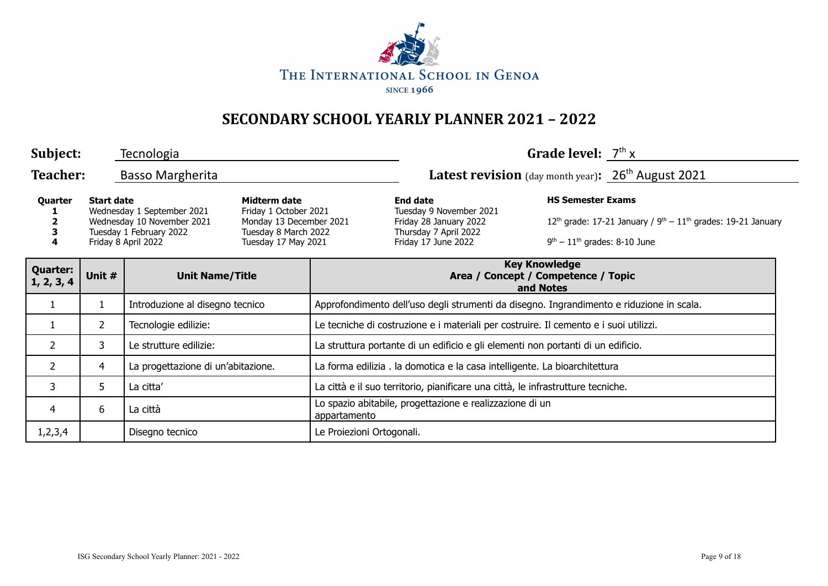

| Subject:                      |                   | Tecnologia                                                                                                 |                                                                                                                 |                                                                                          |                                                                                                                      | Grade level: $7th x$                                       |                                                                            |  |
|-------------------------------|-------------------|------------------------------------------------------------------------------------------------------------|-----------------------------------------------------------------------------------------------------------------|------------------------------------------------------------------------------------------|----------------------------------------------------------------------------------------------------------------------|------------------------------------------------------------|----------------------------------------------------------------------------|--|
| <b>Teacher:</b>               |                   | <b>Basso Margherita</b>                                                                                    |                                                                                                                 |                                                                                          | Latest revision (day month year): 26 <sup>th</sup> August 2021                                                       |                                                            |                                                                            |  |
| Quarter<br>4                  | <b>Start date</b> | Wednesday 1 September 2021<br>Wednesday 10 November 2021<br>Tuesday 1 February 2022<br>Friday 8 April 2022 | Midterm date<br>Friday 1 October 2021<br>Monday 13 December 2021<br>Tuesday 8 March 2022<br>Tuesday 17 May 2021 |                                                                                          | <b>End date</b><br>Tuesday 9 November 2021<br>Friday 28 January 2022<br>Thursday 7 April 2022<br>Friday 17 June 2022 | <b>HS Semester Exams</b><br>$9th - 11th$ grades: 8-10 June | 12 <sup>th</sup> grade: 17-21 January / $9th - 11th$ grades: 19-21 January |  |
| <b>Quarter:</b><br>1, 2, 3, 4 | Unit #            | <b>Unit Name/Title</b>                                                                                     |                                                                                                                 |                                                                                          | <b>Key Knowledge</b><br>Area / Concept / Competence / Topic<br>and Notes                                             |                                                            |                                                                            |  |
| 1                             | $\mathbf{1}$      | Introduzione al disegno tecnico                                                                            |                                                                                                                 | Approfondimento dell'uso degli strumenti da disegno. Ingrandimento e riduzione in scala. |                                                                                                                      |                                                            |                                                                            |  |
| $\mathbf{1}$                  | $\overline{2}$    | Tecnologie edilizie:                                                                                       |                                                                                                                 | Le tecniche di costruzione e i materiali per costruire. Il cemento e i suoi utilizzi.    |                                                                                                                      |                                                            |                                                                            |  |
| $\overline{2}$                | 3                 | Le strutture edilizie:                                                                                     |                                                                                                                 | La struttura portante di un edificio e gli elementi non portanti di un edificio.         |                                                                                                                      |                                                            |                                                                            |  |
| $\overline{2}$                | 4                 | La progettazione di un'abitazione.                                                                         |                                                                                                                 | La forma edilizia. la domotica e la casa intelligente. La bioarchitettura                |                                                                                                                      |                                                            |                                                                            |  |
| 3                             | 5                 | La citta'                                                                                                  |                                                                                                                 | La città e il suo territorio, pianificare una città, le infrastrutture tecniche.         |                                                                                                                      |                                                            |                                                                            |  |
| $\overline{4}$                | 6                 | La città                                                                                                   |                                                                                                                 | Lo spazio abitabile, progettazione e realizzazione di un<br>appartamento                 |                                                                                                                      |                                                            |                                                                            |  |
| 1,2,3,4                       |                   | Disegno tecnico                                                                                            |                                                                                                                 | Le Proiezioni Ortogonali.                                                                |                                                                                                                      |                                                            |                                                                            |  |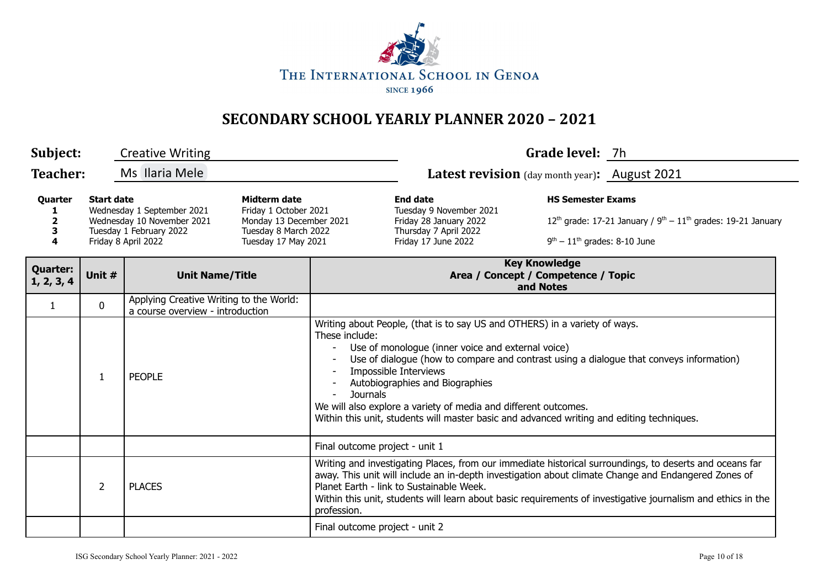

| Subject:                                                                                                                                                  | <b>Creative Writing</b>          |                                                                                                                        |                                                                          |                                                                                                                      | Grade level: 7h                                                                                                                                                                                                                                                                                                                                                                                                                                        |                                                                                  |                                                                                                                                                                                                                                                                                                                                |  |  |
|-----------------------------------------------------------------------------------------------------------------------------------------------------------|----------------------------------|------------------------------------------------------------------------------------------------------------------------|--------------------------------------------------------------------------|----------------------------------------------------------------------------------------------------------------------|--------------------------------------------------------------------------------------------------------------------------------------------------------------------------------------------------------------------------------------------------------------------------------------------------------------------------------------------------------------------------------------------------------------------------------------------------------|----------------------------------------------------------------------------------|--------------------------------------------------------------------------------------------------------------------------------------------------------------------------------------------------------------------------------------------------------------------------------------------------------------------------------|--|--|
| Teacher:                                                                                                                                                  |                                  | Ms Ilaria Mele                                                                                                         |                                                                          |                                                                                                                      | Latest revision (day month year): August 2021                                                                                                                                                                                                                                                                                                                                                                                                          |                                                                                  |                                                                                                                                                                                                                                                                                                                                |  |  |
| <b>Start date</b><br>Quarter<br>Wednesday 1 September 2021<br>Wednesday 10 November 2021<br>2<br>Tuesday 1 February 2022<br>3<br>4<br>Friday 8 April 2022 |                                  | <b>Midterm date</b><br>Friday 1 October 2021<br>Monday 13 December 2021<br>Tuesday 8 March 2022<br>Tuesday 17 May 2021 |                                                                          | <b>End date</b><br>Tuesday 9 November 2021<br>Friday 28 January 2022<br>Thursday 7 April 2022<br>Friday 17 June 2022 | <b>HS Semester Exams</b><br>$9th - 11th$ grades: 8-10 June                                                                                                                                                                                                                                                                                                                                                                                             | 12 <sup>th</sup> grade: 17-21 January / $9^{th} - 11^{th}$ grades: 19-21 January |                                                                                                                                                                                                                                                                                                                                |  |  |
| <b>Quarter:</b><br>1, 2, 3, 4                                                                                                                             | Unit #<br><b>Unit Name/Title</b> |                                                                                                                        | <b>Key Knowledge</b><br>Area / Concept / Competence / Topic<br>and Notes |                                                                                                                      |                                                                                                                                                                                                                                                                                                                                                                                                                                                        |                                                                                  |                                                                                                                                                                                                                                                                                                                                |  |  |
| $\mathbf{1}$                                                                                                                                              | $\mathbf 0$                      | Applying Creative Writing to the World:<br>a course overview - introduction                                            |                                                                          |                                                                                                                      |                                                                                                                                                                                                                                                                                                                                                                                                                                                        |                                                                                  |                                                                                                                                                                                                                                                                                                                                |  |  |
|                                                                                                                                                           | 1                                | <b>PEOPLE</b>                                                                                                          |                                                                          | These include:<br><b>Journals</b>                                                                                    | Writing about People, (that is to say US and OTHERS) in a variety of ways.<br>Use of monologue (inner voice and external voice)<br>Use of dialogue (how to compare and contrast using a dialogue that conveys information)<br>Impossible Interviews<br>Autobiographies and Biographies<br>We will also explore a variety of media and different outcomes.<br>Within this unit, students will master basic and advanced writing and editing techniques. |                                                                                  |                                                                                                                                                                                                                                                                                                                                |  |  |
|                                                                                                                                                           |                                  |                                                                                                                        |                                                                          | Final outcome project - unit 1                                                                                       |                                                                                                                                                                                                                                                                                                                                                                                                                                                        |                                                                                  |                                                                                                                                                                                                                                                                                                                                |  |  |
|                                                                                                                                                           | $\overline{2}$                   | <b>PLACES</b>                                                                                                          |                                                                          | profession.                                                                                                          | Planet Earth - link to Sustainable Week.                                                                                                                                                                                                                                                                                                                                                                                                               |                                                                                  | Writing and investigating Places, from our immediate historical surroundings, to deserts and oceans far<br>away. This unit will include an in-depth investigation about climate Change and Endangered Zones of<br>Within this unit, students will learn about basic requirements of investigative journalism and ethics in the |  |  |
|                                                                                                                                                           |                                  |                                                                                                                        |                                                                          | Final outcome project - unit 2                                                                                       |                                                                                                                                                                                                                                                                                                                                                                                                                                                        |                                                                                  |                                                                                                                                                                                                                                                                                                                                |  |  |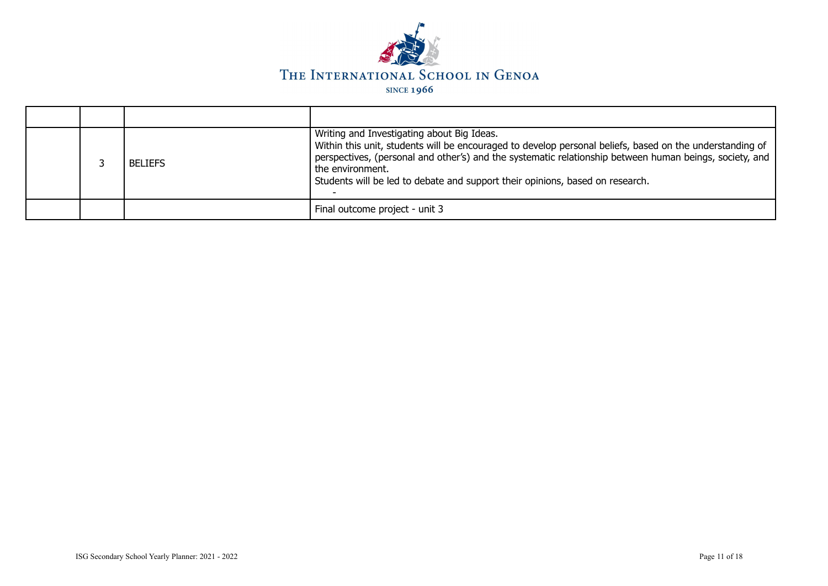

|  | <b>BELIEFS</b> | Writing and Investigating about Big Ideas.<br>Within this unit, students will be encouraged to develop personal beliefs, based on the understanding of<br>perspectives, (personal and other's) and the systematic relationship between human beings, society, and<br>the environment.<br>Students will be led to debate and support their opinions, based on research. |
|--|----------------|------------------------------------------------------------------------------------------------------------------------------------------------------------------------------------------------------------------------------------------------------------------------------------------------------------------------------------------------------------------------|
|  |                | Final outcome project - unit 3                                                                                                                                                                                                                                                                                                                                         |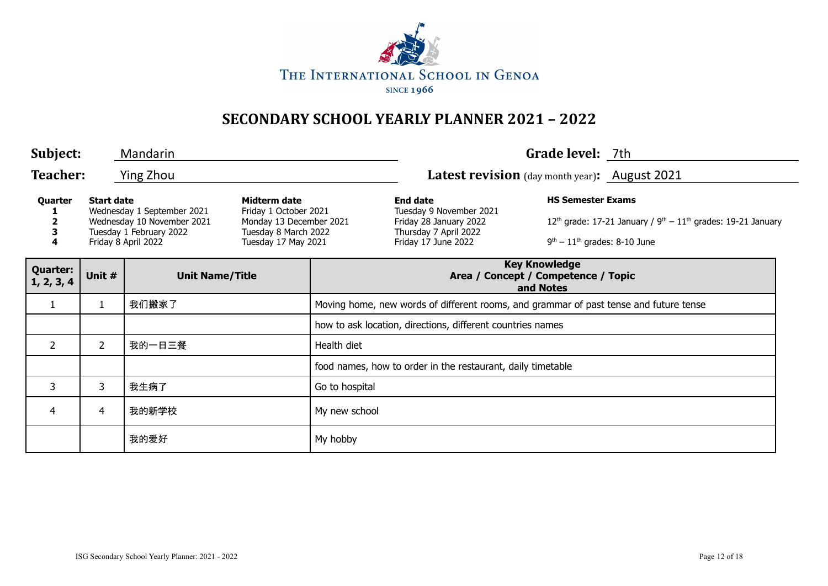

| Subject:                                                                                                                                                                                                                                                                |                       | Mandarin               |  |                                                                                                                      |                                                                          | Grade level: 7th                                                                 |  |  |  |
|-------------------------------------------------------------------------------------------------------------------------------------------------------------------------------------------------------------------------------------------------------------------------|-----------------------|------------------------|--|----------------------------------------------------------------------------------------------------------------------|--------------------------------------------------------------------------|----------------------------------------------------------------------------------|--|--|--|
| <b>Teacher:</b>                                                                                                                                                                                                                                                         |                       | Ying Zhou              |  |                                                                                                                      | Latest revision (day month year): August 2021                            |                                                                                  |  |  |  |
| Quarter<br><b>Start date</b><br>Midterm date<br>Wednesday 1 September 2021<br>Friday 1 October 2021<br>Monday 13 December 2021<br>Wednesday 10 November 2021<br>Tuesday 1 February 2022<br>Tuesday 8 March 2022<br>З<br>4<br>Friday 8 April 2022<br>Tuesday 17 May 2021 |                       |                        |  | <b>End date</b><br>Tuesday 9 November 2021<br>Friday 28 January 2022<br>Thursday 7 April 2022<br>Friday 17 June 2022 | <b>HS Semester Exams</b><br>$9th - 11th$ grades: 8-10 June               | 12 <sup>th</sup> grade: 17-21 January / $9^{th} - 11^{th}$ grades: 19-21 January |  |  |  |
| <b>Quarter:</b><br>1, 2, 3, 4                                                                                                                                                                                                                                           | Unit #                | <b>Unit Name/Title</b> |  |                                                                                                                      | <b>Key Knowledge</b><br>Area / Concept / Competence / Topic<br>and Notes |                                                                                  |  |  |  |
| $\mathbf{1}$                                                                                                                                                                                                                                                            |                       | 我们搬家了                  |  | Moving home, new words of different rooms, and grammar of past tense and future tense                                |                                                                          |                                                                                  |  |  |  |
|                                                                                                                                                                                                                                                                         |                       |                        |  | how to ask location, directions, different countries names                                                           |                                                                          |                                                                                  |  |  |  |
| $\overline{2}$                                                                                                                                                                                                                                                          | $\mathbf{2}^{\prime}$ | 我的一日三餐                 |  | Health diet                                                                                                          |                                                                          |                                                                                  |  |  |  |
|                                                                                                                                                                                                                                                                         |                       |                        |  |                                                                                                                      | food names, how to order in the restaurant, daily timetable              |                                                                                  |  |  |  |
| 3                                                                                                                                                                                                                                                                       | 3                     | 我生病了                   |  | Go to hospital                                                                                                       |                                                                          |                                                                                  |  |  |  |
| 4                                                                                                                                                                                                                                                                       | 4                     | 我的新学校                  |  | My new school                                                                                                        |                                                                          |                                                                                  |  |  |  |
|                                                                                                                                                                                                                                                                         |                       | 我的爱好                   |  | My hobby                                                                                                             |                                                                          |                                                                                  |  |  |  |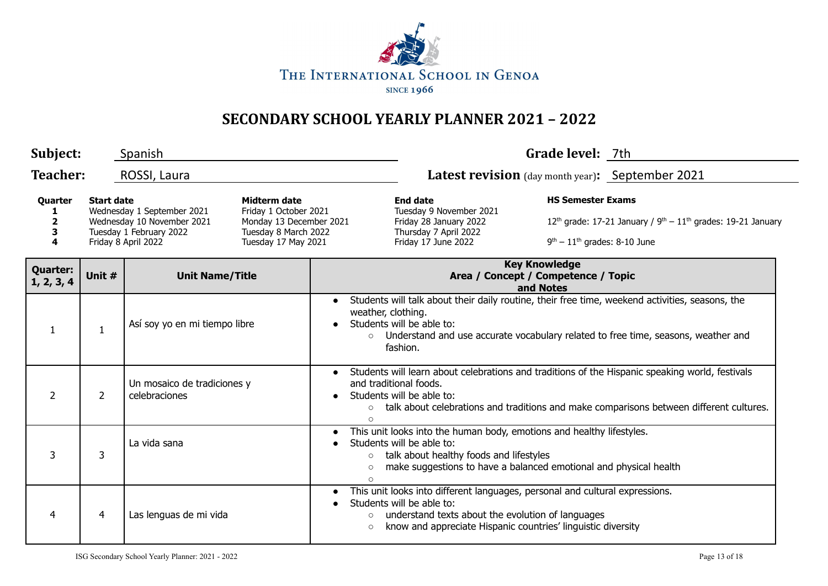

| Subject:                                   |                   | Spanish                                                                                                                                                                                                                              |  |                                                                                                                                                                                                                                                                    |                                                                                                                                                                                                                                                   | Grade level: 7th |                                                                                                    |  |
|--------------------------------------------|-------------------|--------------------------------------------------------------------------------------------------------------------------------------------------------------------------------------------------------------------------------------|--|--------------------------------------------------------------------------------------------------------------------------------------------------------------------------------------------------------------------------------------------------------------------|---------------------------------------------------------------------------------------------------------------------------------------------------------------------------------------------------------------------------------------------------|------------------|----------------------------------------------------------------------------------------------------|--|
| <b>Teacher:</b>                            |                   | ROSSI, Laura                                                                                                                                                                                                                         |  |                                                                                                                                                                                                                                                                    | <b>Latest revision</b> (day month year): September 2021                                                                                                                                                                                           |                  |                                                                                                    |  |
| <b>Quarter</b><br>$\overline{2}$<br>3<br>4 | <b>Start date</b> | <b>Midterm date</b><br>Wednesday 1 September 2021<br>Friday 1 October 2021<br>Wednesday 10 November 2021<br>Monday 13 December 2021<br>Tuesday 1 February 2022<br>Tuesday 8 March 2022<br>Tuesday 17 May 2021<br>Friday 8 April 2022 |  |                                                                                                                                                                                                                                                                    | <b>HS Semester Exams</b><br><b>End date</b><br>Tuesday 9 November 2021<br>Friday 28 January 2022<br>Thursday 7 April 2022<br>Friday 17 June 2022                                                                                                  |                  | $12th$ grade: 17-21 January / $9th - 11th$ grades: 19-21 January<br>$9th - 11th$ grades: 8-10 June |  |
| <b>Quarter:</b><br>1, 2, 3, 4              | Unit #            | <b>Unit Name/Title</b>                                                                                                                                                                                                               |  |                                                                                                                                                                                                                                                                    | <b>Key Knowledge</b><br>Area / Concept / Competence / Topic<br>and Notes                                                                                                                                                                          |                  |                                                                                                    |  |
| 1                                          | 1                 | Así soy yo en mi tiempo libre                                                                                                                                                                                                        |  | Students will talk about their daily routine, their free time, weekend activities, seasons, the<br>$\bullet$<br>weather, clothing.<br>Students will be able to:<br>○ Understand and use accurate vocabulary related to free time, seasons, weather and<br>fashion. |                                                                                                                                                                                                                                                   |                  |                                                                                                    |  |
| $\overline{2}$                             | $\overline{2}$    | Un mosaico de tradiciones y<br>celebraciones                                                                                                                                                                                         |  |                                                                                                                                                                                                                                                                    | Students will learn about celebrations and traditions of the Hispanic speaking world, festivals<br>and traditional foods.<br>Students will be able to:<br>talk about celebrations and traditions and make comparisons between different cultures. |                  |                                                                                                    |  |
| 3                                          | 3                 | La vida sana<br>$\circ$<br>$\bigcirc$                                                                                                                                                                                                |  |                                                                                                                                                                                                                                                                    | This unit looks into the human body, emotions and healthy lifestyles.<br>Students will be able to:<br>talk about healthy foods and lifestyles<br>make suggestions to have a balanced emotional and physical health                                |                  |                                                                                                    |  |
| 4                                          | 4                 | Las lenguas de mi vida                                                                                                                                                                                                               |  | $\bullet$<br>$\circ$<br>$\circ$                                                                                                                                                                                                                                    | This unit looks into different languages, personal and cultural expressions.<br>Students will be able to:<br>understand texts about the evolution of languages<br>know and appreciate Hispanic countries' linguistic diversity                    |                  |                                                                                                    |  |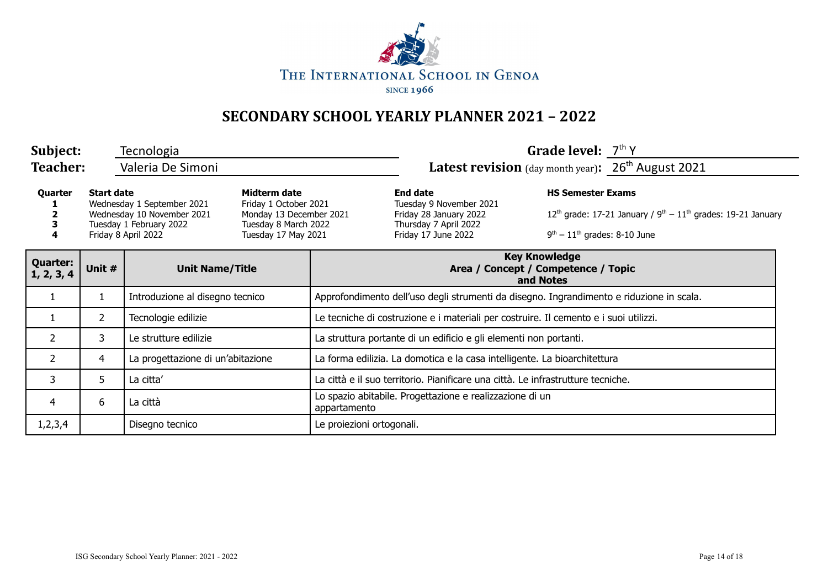

| Subject:                      |                                                                                                                                                                                                                                                    | Tecnologia                        |  |                                                                                                                      |                                                                                       | Grade level: $7th$ Y                                                       |  |  |
|-------------------------------|----------------------------------------------------------------------------------------------------------------------------------------------------------------------------------------------------------------------------------------------------|-----------------------------------|--|----------------------------------------------------------------------------------------------------------------------|---------------------------------------------------------------------------------------|----------------------------------------------------------------------------|--|--|
| <b>Teacher:</b>               |                                                                                                                                                                                                                                                    | Valeria De Simoni                 |  |                                                                                                                      |                                                                                       | Latest revision (day month year): 26 <sup>th</sup> August 2021             |  |  |
| Quarter                       | Midterm date<br><b>Start date</b><br>Wednesday 1 September 2021<br>Friday 1 October 2021<br>Wednesday 10 November 2021<br>Monday 13 December 2021<br>Tuesday 8 March 2022<br>Tuesday 1 February 2022<br>Friday 8 April 2022<br>Tuesday 17 May 2021 |                                   |  | <b>End date</b><br>Tuesday 9 November 2021<br>Friday 28 January 2022<br>Thursday 7 April 2022<br>Friday 17 June 2022 | <b>HS Semester Exams</b><br>$9th - 11th$ grades: 8-10 June                            | 12 <sup>th</sup> grade: 17-21 January / $9th - 11th$ grades: 19-21 January |  |  |
| <b>Quarter:</b><br>1, 2, 3, 4 | Unit #                                                                                                                                                                                                                                             | <b>Unit Name/Title</b>            |  | <b>Key Knowledge</b><br>Area / Concept / Competence / Topic<br>and Notes                                             |                                                                                       |                                                                            |  |  |
|                               | $\mathbf{1}$                                                                                                                                                                                                                                       | Introduzione al disegno tecnico   |  | Approfondimento dell'uso degli strumenti da disegno. Ingrandimento e riduzione in scala.                             |                                                                                       |                                                                            |  |  |
|                               | $\mathbf{2}^{\prime}$                                                                                                                                                                                                                              | Tecnologie edilizie               |  |                                                                                                                      | Le tecniche di costruzione e i materiali per costruire. Il cemento e i suoi utilizzi. |                                                                            |  |  |
| $\overline{2}$                | 3                                                                                                                                                                                                                                                  | Le strutture edilizie             |  | La struttura portante di un edificio e gli elementi non portanti.                                                    |                                                                                       |                                                                            |  |  |
| $\overline{2}$                | 4                                                                                                                                                                                                                                                  | La progettazione di un'abitazione |  | La forma edilizia. La domotica e la casa intelligente. La bioarchitettura                                            |                                                                                       |                                                                            |  |  |
| 3                             | 5                                                                                                                                                                                                                                                  | La citta'                         |  | La città e il suo territorio. Pianificare una città. Le infrastrutture tecniche.                                     |                                                                                       |                                                                            |  |  |
| 4                             | 6                                                                                                                                                                                                                                                  | La città                          |  | Lo spazio abitabile. Progettazione e realizzazione di un<br>appartamento                                             |                                                                                       |                                                                            |  |  |
| 1,2,3,4                       |                                                                                                                                                                                                                                                    | Disegno tecnico                   |  | Le proiezioni ortogonali.                                                                                            |                                                                                       |                                                                            |  |  |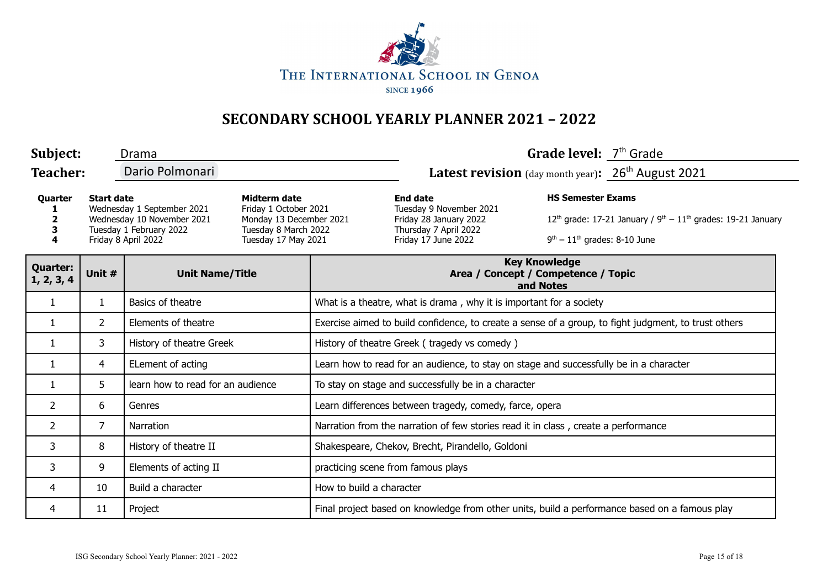

| Subject:                                                                                                                                        |                | Drama                                                                                                           |  |                                                                                                                      |                                                                                               | Grade level: 7 <sup>th</sup> Grade                               |  |  |
|-------------------------------------------------------------------------------------------------------------------------------------------------|----------------|-----------------------------------------------------------------------------------------------------------------|--|----------------------------------------------------------------------------------------------------------------------|-----------------------------------------------------------------------------------------------|------------------------------------------------------------------|--|--|
| <b>Teacher:</b>                                                                                                                                 |                | Dario Polmonari                                                                                                 |  | Latest revision (day month year): 26 <sup>th</sup> August 2021                                                       |                                                                                               |                                                                  |  |  |
| <b>Start date</b><br>Quarter<br>Wednesday 1 September 2021<br>Wednesday 10 November 2021<br>Tuesday 1 February 2022<br>4<br>Friday 8 April 2022 |                | Midterm date<br>Friday 1 October 2021<br>Monday 13 December 2021<br>Tuesday 8 March 2022<br>Tuesday 17 May 2021 |  | <b>End date</b><br>Tuesday 9 November 2021<br>Friday 28 January 2022<br>Thursday 7 April 2022<br>Friday 17 June 2022 | <b>HS Semester Exams</b><br>$9th - 11th$ grades: 8-10 June                                    | $12th$ grade: 17-21 January / $9th - 11th$ grades: 19-21 January |  |  |
| <b>Quarter:</b><br>1, 2, 3, 4                                                                                                                   | Unit #         | <b>Unit Name/Title</b>                                                                                          |  | <b>Key Knowledge</b><br>Area / Concept / Competence / Topic<br>and Notes                                             |                                                                                               |                                                                  |  |  |
| 1                                                                                                                                               | 1              | Basics of theatre                                                                                               |  | What is a theatre, what is drama, why it is important for a society                                                  |                                                                                               |                                                                  |  |  |
| 1                                                                                                                                               | $\overline{2}$ | Elements of theatre                                                                                             |  | Exercise aimed to build confidence, to create a sense of a group, to fight judgment, to trust others                 |                                                                                               |                                                                  |  |  |
| 1                                                                                                                                               | 3              | History of theatre Greek                                                                                        |  | History of theatre Greek (tragedy vs comedy)                                                                         |                                                                                               |                                                                  |  |  |
| 1                                                                                                                                               | 4              | ELement of acting                                                                                               |  | Learn how to read for an audience, to stay on stage and successfully be in a character                               |                                                                                               |                                                                  |  |  |
| 1                                                                                                                                               | 5              | learn how to read for an audience                                                                               |  | To stay on stage and successfully be in a character                                                                  |                                                                                               |                                                                  |  |  |
| $\overline{2}$                                                                                                                                  | 6              | Genres                                                                                                          |  | Learn differences between tragedy, comedy, farce, opera                                                              |                                                                                               |                                                                  |  |  |
| $\overline{2}$                                                                                                                                  | 7              | Narration                                                                                                       |  | Narration from the narration of few stories read it in class, create a performance                                   |                                                                                               |                                                                  |  |  |
| 3                                                                                                                                               | 8              | History of theatre II                                                                                           |  | Shakespeare, Chekov, Brecht, Pirandello, Goldoni                                                                     |                                                                                               |                                                                  |  |  |
| 3                                                                                                                                               | 9              | Elements of acting II                                                                                           |  | practicing scene from famous plays                                                                                   |                                                                                               |                                                                  |  |  |
| 4                                                                                                                                               | 10             | Build a character                                                                                               |  | How to build a character                                                                                             |                                                                                               |                                                                  |  |  |
| 4                                                                                                                                               | 11             | Project                                                                                                         |  |                                                                                                                      | Final project based on knowledge from other units, build a performance based on a famous play |                                                                  |  |  |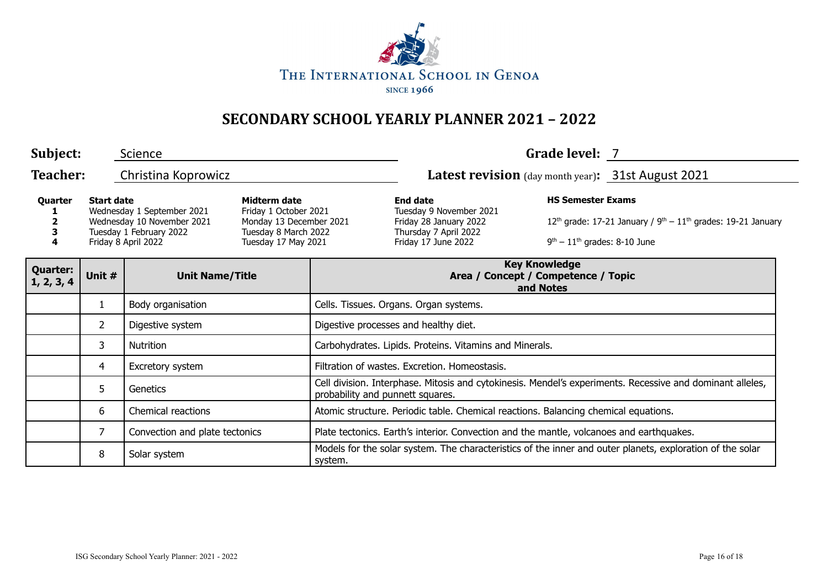

| Subject:                      |                                  | Science                                                                                                                                                                                                                       |                                                                          |                                                         |                                                                                                                                                                                    | Grade level: 7                                     |                                                                                                           |  |
|-------------------------------|----------------------------------|-------------------------------------------------------------------------------------------------------------------------------------------------------------------------------------------------------------------------------|--------------------------------------------------------------------------|---------------------------------------------------------|------------------------------------------------------------------------------------------------------------------------------------------------------------------------------------|----------------------------------------------------|-----------------------------------------------------------------------------------------------------------|--|
| <b>Teacher:</b>               | Christina Koprowicz              |                                                                                                                                                                                                                               |                                                                          |                                                         |                                                                                                                                                                                    | Latest revision (day month year): 31st August 2021 |                                                                                                           |  |
| <b>Start date</b><br>Quarter  |                                  | Midterm date<br>Wednesday 1 September 2021<br>Friday 1 October 2021<br>Wednesday 10 November 2021<br>Monday 13 December 2021<br>Tuesday 1 February 2022<br>Tuesday 8 March 2022<br>Friday 8 April 2022<br>Tuesday 17 May 2021 |                                                                          |                                                         | <b>HS Semester Exams</b><br><b>End date</b><br>Tuesday 9 November 2021<br>Friday 28 January 2022<br>Thursday 7 April 2022<br>$9th - 11th$ grades: 8-10 June<br>Friday 17 June 2022 |                                                    | 12 <sup>th</sup> grade: 17-21 January / $9th - 11th$ grades: 19-21 January                                |  |
| <b>Quarter:</b><br>1, 2, 3, 4 | Unit #<br><b>Unit Name/Title</b> |                                                                                                                                                                                                                               | <b>Key Knowledge</b><br>Area / Concept / Competence / Topic<br>and Notes |                                                         |                                                                                                                                                                                    |                                                    |                                                                                                           |  |
|                               | $\mathbf{1}$                     | Body organisation                                                                                                                                                                                                             |                                                                          | Cells. Tissues. Organs. Organ systems.                  |                                                                                                                                                                                    |                                                    |                                                                                                           |  |
|                               | $\overline{2}$                   | Digestive system                                                                                                                                                                                                              |                                                                          | Digestive processes and healthy diet.                   |                                                                                                                                                                                    |                                                    |                                                                                                           |  |
|                               | 3                                | <b>Nutrition</b>                                                                                                                                                                                                              |                                                                          | Carbohydrates. Lipids. Proteins. Vitamins and Minerals. |                                                                                                                                                                                    |                                                    |                                                                                                           |  |
|                               | 4                                | Excretory system                                                                                                                                                                                                              |                                                                          | Filtration of wastes, Excretion, Homeostasis,           |                                                                                                                                                                                    |                                                    |                                                                                                           |  |
|                               | 5.                               | Genetics                                                                                                                                                                                                                      |                                                                          | probability and punnett squares.                        |                                                                                                                                                                                    |                                                    | Cell division. Interphase. Mitosis and cytokinesis. Mendel's experiments. Recessive and dominant alleles, |  |
|                               | 6                                | Chemical reactions                                                                                                                                                                                                            |                                                                          |                                                         | Atomic structure. Periodic table. Chemical reactions. Balancing chemical equations.                                                                                                |                                                    |                                                                                                           |  |
|                               | $\overline{7}$                   | Convection and plate tectonics                                                                                                                                                                                                |                                                                          |                                                         | Plate tectonics. Earth's interior. Convection and the mantle, volcanoes and earthquakes.                                                                                           |                                                    |                                                                                                           |  |
|                               | 8                                | Solar system                                                                                                                                                                                                                  |                                                                          | system.                                                 |                                                                                                                                                                                    |                                                    | Models for the solar system. The characteristics of the inner and outer planets, exploration of the solar |  |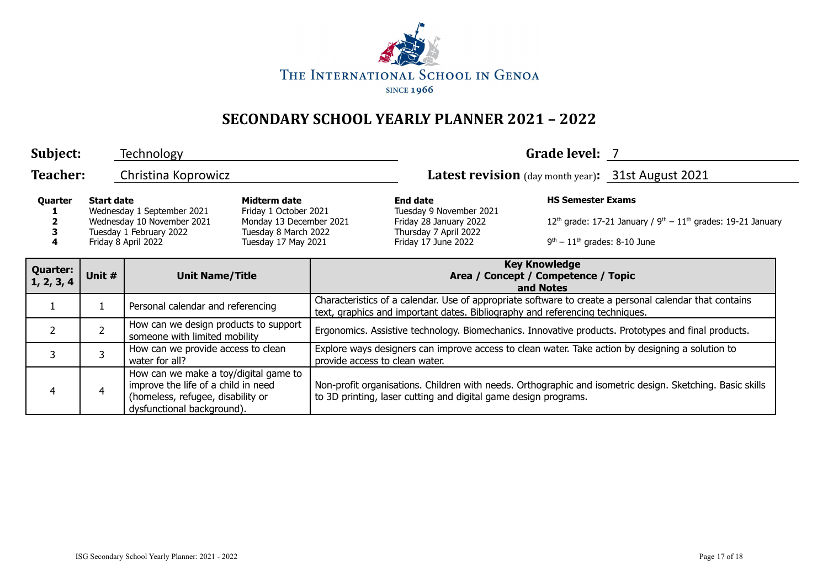

| Subject:                      |                                                                                                                                 | Technology                                                                                                                                      |                                                                                                                 |                                                                                                                                                                                        |                                                                                                                      | Grade level: 7                                             |                                                                                                           |  |
|-------------------------------|---------------------------------------------------------------------------------------------------------------------------------|-------------------------------------------------------------------------------------------------------------------------------------------------|-----------------------------------------------------------------------------------------------------------------|----------------------------------------------------------------------------------------------------------------------------------------------------------------------------------------|----------------------------------------------------------------------------------------------------------------------|------------------------------------------------------------|-----------------------------------------------------------------------------------------------------------|--|
| <b>Teacher:</b>               |                                                                                                                                 | Christina Koprowicz                                                                                                                             |                                                                                                                 |                                                                                                                                                                                        |                                                                                                                      |                                                            | Latest revision (day month year): 31st August 2021                                                        |  |
| Quarter                       | <b>Start date</b><br>Wednesday 1 September 2021<br>Wednesday 10 November 2021<br>Tuesday 1 February 2022<br>Friday 8 April 2022 |                                                                                                                                                 | Midterm date<br>Friday 1 October 2021<br>Monday 13 December 2021<br>Tuesday 8 March 2022<br>Tuesday 17 May 2021 |                                                                                                                                                                                        | <b>End date</b><br>Tuesday 9 November 2021<br>Friday 28 January 2022<br>Thursday 7 April 2022<br>Friday 17 June 2022 | <b>HS Semester Exams</b><br>$9th - 11th$ grades: 8-10 June | $12th$ grade: 17-21 January / $9th - 11th$ grades: 19-21 January                                          |  |
| <b>Quarter:</b><br>1, 2, 3, 4 | Unit #                                                                                                                          | <b>Unit Name/Title</b>                                                                                                                          |                                                                                                                 | <b>Key Knowledge</b><br>Area / Concept / Competence / Topic<br>and Notes                                                                                                               |                                                                                                                      |                                                            |                                                                                                           |  |
|                               |                                                                                                                                 | Personal calendar and referencing                                                                                                               |                                                                                                                 | Characteristics of a calendar. Use of appropriate software to create a personal calendar that contains<br>text, graphics and important dates. Bibliography and referencing techniques. |                                                                                                                      |                                                            |                                                                                                           |  |
| $\overline{2}$                | $\overline{2}$                                                                                                                  | How can we design products to support<br>someone with limited mobility                                                                          |                                                                                                                 | Ergonomics. Assistive technology. Biomechanics. Innovative products. Prototypes and final products.                                                                                    |                                                                                                                      |                                                            |                                                                                                           |  |
| 3                             | 3                                                                                                                               | How can we provide access to clean<br>water for all?                                                                                            |                                                                                                                 | Explore ways designers can improve access to clean water. Take action by designing a solution to<br>provide access to clean water.                                                     |                                                                                                                      |                                                            |                                                                                                           |  |
| 4                             | $\overline{4}$                                                                                                                  | How can we make a toy/digital game to<br>improve the life of a child in need<br>(homeless, refugee, disability or<br>dysfunctional background). |                                                                                                                 |                                                                                                                                                                                        | to 3D printing, laser cutting and digital game design programs.                                                      |                                                            | Non-profit organisations. Children with needs. Orthographic and isometric design. Sketching. Basic skills |  |